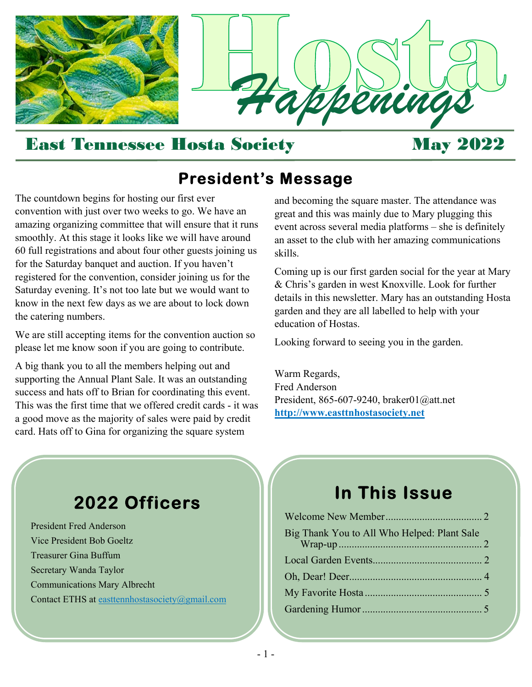

#### East Tennessee Hosta Society May 2022

## **President's Message**

The countdown begins for hosting our first ever convention with just over two weeks to go. We have an amazing organizing committee that will ensure that it runs smoothly. At this stage it looks like we will have around 60 full registrations and about four other guests joining us for the Saturday banquet and auction. If you haven't registered for the convention, consider joining us for the Saturday evening. It's not too late but we would want to know in the next few days as we are about to lock down the catering numbers.

We are still accepting items for the convention auction so please let me know soon if you are going to contribute.

A big thank you to all the members helping out and supporting the Annual Plant Sale. It was an outstanding success and hats off to Brian for coordinating this event. This was the first time that we offered credit cards - it was a good move as the majority of sales were paid by credit card. Hats off to Gina for organizing the square system

and becoming the square master. The attendance was great and this was mainly due to Mary plugging this event across several media platforms – she is definitely an asset to the club with her amazing communications skills.

Coming up is our first garden social for the year at Mary & Chris's garden in west Knoxville. Look for further details in this newsletter. Mary has an outstanding Hosta garden and they are all labelled to help with your education of Hostas.

Looking forward to seeing you in the garden.

Warm Regards, Fred Anderson President, 865-607-9240, braker01@att.net **http://www.easttnhostasociety.net** 

## **2022 Officers**

President Fred Anderson Vice President Bob Goeltz Treasurer Gina Buffum Secretary Wanda Taylor Communications Mary Albrecht Contact ETHS at easttennhostasociety@gmail.com

## **In This Issue**

| Big Thank You to All Who Helped: Plant Sale |  |
|---------------------------------------------|--|
|                                             |  |
|                                             |  |
|                                             |  |
|                                             |  |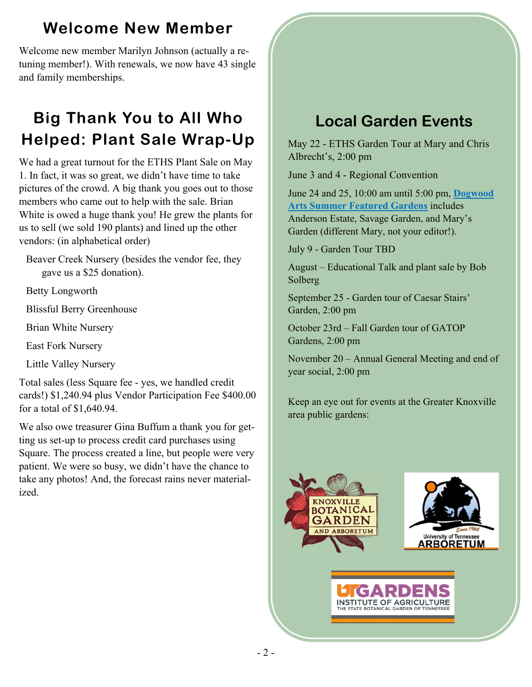## **Welcome New Member**

Welcome new member Marilyn Johnson (actually a retuning member!). With renewals, we now have 43 single and family memberships.

## **Big Thank You to All Who Helped: Plant Sale Wrap-Up**

We had a great turnout for the ETHS Plant Sale on May 1. In fact, it was so great, we didn't have time to take pictures of the crowd. A big thank you goes out to those members who came out to help with the sale. Brian White is owed a huge thank you! He grew the plants for us to sell (we sold 190 plants) and lined up the other vendors: (in alphabetical order)

Beaver Creek Nursery (besides the vendor fee, they gave us a \$25 donation).

Betty Longworth

Blissful Berry Greenhouse

Brian White Nursery

East Fork Nursery

Little Valley Nursery

Total sales (less Square fee - yes, we handled credit cards!) \$1,240.94 plus Vendor Participation Fee \$400.00 for a total of \$1,640.94.

We also owe treasurer Gina Buffum a thank you for getting us set-up to process credit card purchases using Square. The process created a line, but people were very patient. We were so busy, we didn't have the chance to take any photos! And, the forecast rains never materialized.

## **Local Garden Events**

May 22 - ETHS Garden Tour at Mary and Chris Albrecht's, 2:00 pm

June 3 and 4 - Regional Convention

[June 24 and 25, 10:00 am until 5:00 pm,](https://www.dogwoodarts.com/featuredgardens) **Dogwood Arts Summer Featured Gardens** includes Anderson Estate, Savage Garden, and Mary's Garden (different Mary, not your editor!).

July 9 - Garden Tour TBD

August – Educational Talk and plant sale by Bob Solberg

September 25 - Garden tour of Caesar Stairs' Garden, 2:00 pm

October 23rd – Fall Garden tour of GATOP Gardens, 2:00 pm

November 20 – Annual General Meeting and end of year social, 2:00 pm

Keep an eye out for events at the Greater Knoxville area public gardens:

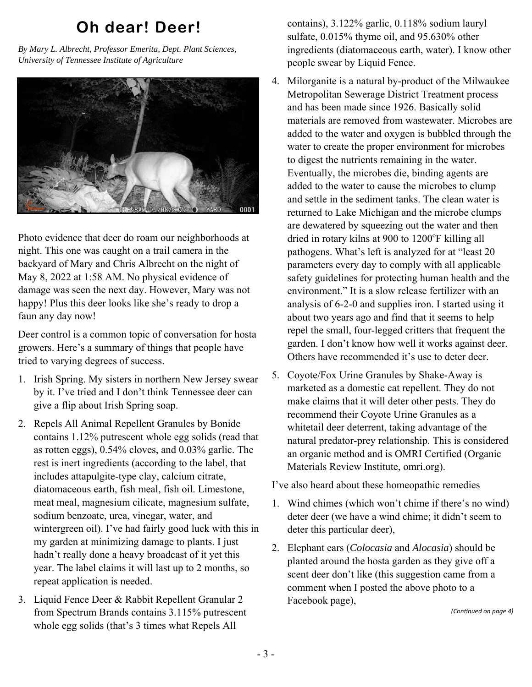## **Oh dear! Deer!**

*By Mary L. Albrecht, Professor Emerita, Dept. Plant Sciences, University of Tennessee Institute of Agriculture* 



Photo evidence that deer do roam our neighborhoods at night. This one was caught on a trail camera in the backyard of Mary and Chris Albrecht on the night of May 8, 2022 at 1:58 AM. No physical evidence of damage was seen the next day. However, Mary was not happy! Plus this deer looks like she's ready to drop a faun any day now!

Deer control is a common topic of conversation for hosta growers. Here's a summary of things that people have tried to varying degrees of success.

- 1. Irish Spring. My sisters in northern New Jersey swear by it. I've tried and I don't think Tennessee deer can give a flip about Irish Spring soap.
- 2. Repels All Animal Repellent Granules by Bonide contains 1.12% putrescent whole egg solids (read that as rotten eggs), 0.54% cloves, and 0.03% garlic. The rest is inert ingredients (according to the label, that includes attapulgite-type clay, calcium citrate, diatomaceous earth, fish meal, fish oil. Limestone, meat meal, magnesium cilicate, magnesium sulfate, sodium benzoate, urea, vinegar, water, and wintergreen oil). I've had fairly good luck with this in my garden at minimizing damage to plants. I just hadn't really done a heavy broadcast of it yet this year. The label claims it will last up to 2 months, so repeat application is needed.
- 3. Liquid Fence Deer & Rabbit Repellent Granular 2 from Spectrum Brands contains 3.115% putrescent whole egg solids (that's 3 times what Repels All

contains), 3.122% garlic, 0.118% sodium lauryl sulfate, 0.015% thyme oil, and 95.630% other ingredients (diatomaceous earth, water). I know other people swear by Liquid Fence.

- 4. Milorganite is a natural by-product of the Milwaukee Metropolitan Sewerage District Treatment process and has been made since 1926. Basically solid materials are removed from wastewater. Microbes are added to the water and oxygen is bubbled through the water to create the proper environment for microbes to digest the nutrients remaining in the water. Eventually, the microbes die, binding agents are added to the water to cause the microbes to clump and settle in the sediment tanks. The clean water is returned to Lake Michigan and the microbe clumps are dewatered by squeezing out the water and then dried in rotary kilns at 900 to 1200°F killing all pathogens. What's left is analyzed for at "least 20 parameters every day to comply with all applicable safety guidelines for protecting human health and the environment." It is a slow release fertilizer with an analysis of 6-2-0 and supplies iron. I started using it about two years ago and find that it seems to help repel the small, four-legged critters that frequent the garden. I don't know how well it works against deer. Others have recommended it's use to deter deer.
- 5. Coyote/Fox Urine Granules by Shake-Away is marketed as a domestic cat repellent. They do not make claims that it will deter other pests. They do recommend their Coyote Urine Granules as a whitetail deer deterrent, taking advantage of the natural predator-prey relationship. This is considered an organic method and is OMRI Certified (Organic Materials Review Institute, omri.org).

I've also heard about these homeopathic remedies

- 1. Wind chimes (which won't chime if there's no wind) deter deer (we have a wind chime; it didn't seem to deter this particular deer),
- 2. Elephant ears (*Colocasia* and *Alocasia*) should be planted around the hosta garden as they give off a scent deer don't like (this suggestion came from a comment when I posted the above photo to a Facebook page),

*(ConƟnued on page 4)*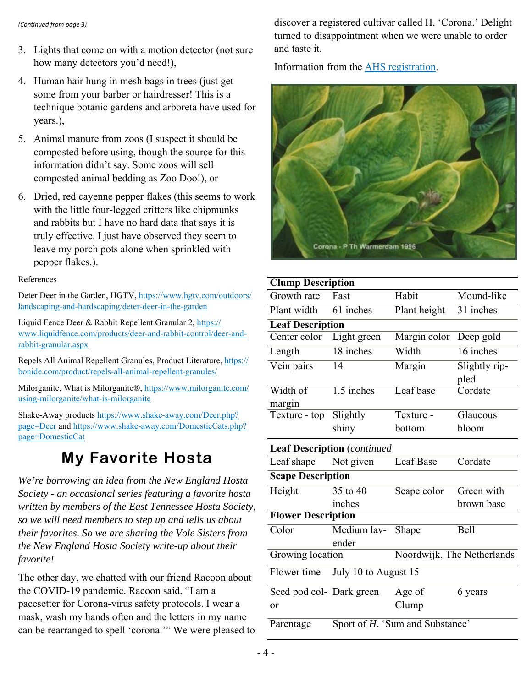- 3. Lights that come on with a motion detector (not sure how many detectors you'd need!),
- 4. Human hair hung in mesh bags in trees (just get some from your barber or hairdresser! This is a technique botanic gardens and arboreta have used for years.),
- 5. Animal manure from zoos (I suspect it should be composted before using, though the source for this information didn't say. Some zoos will sell composted animal bedding as Zoo Doo!), or
- 6. Dried, red cayenne pepper flakes (this seems to work with the little four-legged critters like chipmunks and rabbits but I have no hard data that says it is truly effective. I just have observed they seem to leave my porch pots alone when sprinkled with pepper flakes.).

References

[Deter Deer in the Garden, HGTV, https://www.hgtv.com/outdoors/](https://www.hgtv.com/outdoors/landscaping-and-hardscaping/deter-deer-in-the-garden) landscaping-and-hardscaping/deter-deer-in-the-garden

Liquid Fence Deer & Rabbit Repellent Granular 2, https:// [www.liquidfence.com/products/deer-and-rabbit-control/deer-and](https://www.liquidfence.com/products/deer-and-rabbit-control/deer-and-rabbit-granular.aspx)rabbit-granular.aspx

[Repels All Animal Repellent Granules, Product Literature, https://](https://bonide.com/product/repels-all-animal-repellent-granules/) bonide.com/product/repels-all-animal-repellent-granules/

[Milorganite, What is Milorganite®, https://www.milorganite.com/](https://www.milorganite.com/using-milorganite/what-is-milorganite) using-milorganite/what-is-milorganite

[Shake-Away products https://www.shake-away.com/Deer.php?](https://www.shake-away.com/Deer.php?page=Deer) page=Deer an[d https://www.shake-away.com/DomesticCats.php?](https://www.shake-away.com/DomesticCats.php?page=DomesticCat) page=DomesticCat

## **My Favorite Hosta**

*We're borrowing an idea from the New England Hosta Society - an occasional series featuring a favorite hosta written by members of the East Tennessee Hosta Society, so we will need members to step up and tells us about their favorites. So we are sharing the Vole Sisters from the New England Hosta Society write-up about their favorite!* 

The other day, we chatted with our friend Racoon about the COVID-19 pandemic. Racoon said, "I am a pacesetter for Corona-virus safety protocols. I wear a mask, wash my hands often and the letters in my name can be rearranged to spell 'corona.'" We were pleased to

*(ConƟnued from page 3)* discover a registered cultivar called H. 'Corona.' Delight turned to disappointment when we were unable to order and taste it.

[Information from the AHS registration.](https://hostatreasury.org/detail.php?id=1080) 



| <b>Clump Description</b>  |                                    |              |                            |  |  |
|---------------------------|------------------------------------|--------------|----------------------------|--|--|
| Growth rate               | Fast                               | Habit        | Mound-like                 |  |  |
| Plant width               | $61$ inches                        | Plant height | $\overline{31}$ inches     |  |  |
| <b>Leaf Description</b>   |                                    |              |                            |  |  |
| Center color              | Light green                        | Margin color | Deep gold                  |  |  |
| Length                    | 18 inches                          | Width        | $\overline{16}$ inches     |  |  |
| Vein pairs                | 14                                 | Margin       | Slightly rip-<br>pled      |  |  |
| Width of                  | $\overline{1.5}$ inches            | Leaf base    | Cordate                    |  |  |
| margin                    |                                    |              |                            |  |  |
| Texture - top             | Slightly                           | Texture -    | Glaucous                   |  |  |
|                           | shiny                              | bottom       | bloom                      |  |  |
|                           | <b>Leaf Description</b> (continued |              |                            |  |  |
| Leaf shape                | Not given                          | Leaf Base    | Cordate                    |  |  |
| <b>Scape Description</b>  |                                    |              |                            |  |  |
| Height                    | 35 to 40                           | Scape color  | Green with                 |  |  |
|                           | inches                             |              | brown base                 |  |  |
| <b>Flower Description</b> |                                    |              |                            |  |  |
| $\overline{\text{Color}}$ | Medium lav-                        | Shape        | Bell                       |  |  |
|                           | ender                              |              |                            |  |  |
| Growing location          |                                    |              | Noordwijk, The Netherlands |  |  |
| Flower time               | July 10 to August 15               |              |                            |  |  |
| Seed pod col- Dark green  |                                    | Age of       | 6 years                    |  |  |
| or                        |                                    | Clump        |                            |  |  |
| Parentage                 | Sport of H. 'Sum and Substance'    |              |                            |  |  |